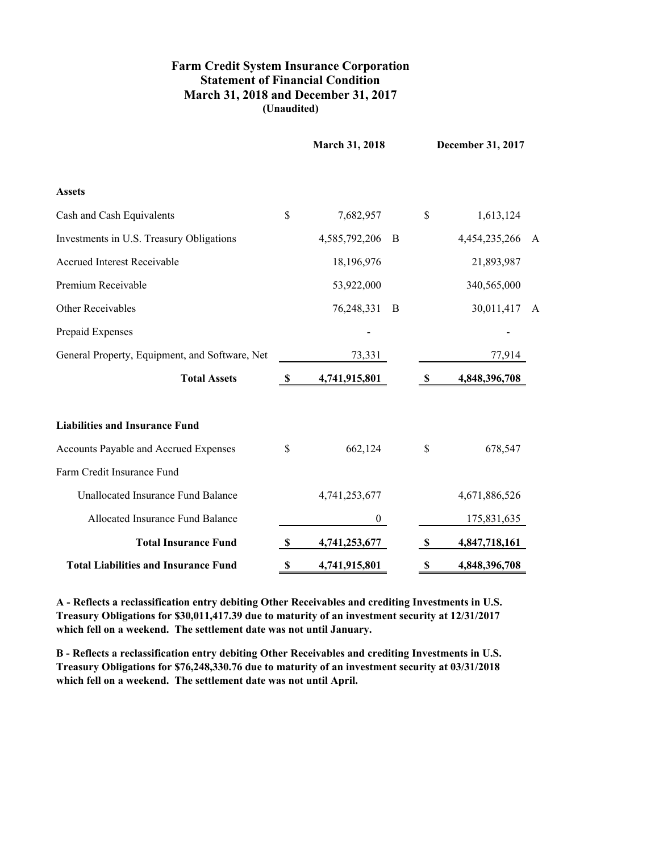## **March 31, 2018 and December 31, 2017 Farm Credit System Insurance Corporation Statement of Financial Condition (Unaudited)**

|                                                |              | <b>March 31, 2018</b> |   | December 31, 2017 |               |   |
|------------------------------------------------|--------------|-----------------------|---|-------------------|---------------|---|
| <b>Assets</b>                                  |              |                       |   |                   |               |   |
| Cash and Cash Equivalents                      | \$           | 7,682,957             |   | \$                | 1,613,124     |   |
| Investments in U.S. Treasury Obligations       |              | 4,585,792,206         | B |                   | 4,454,235,266 | A |
| <b>Accrued Interest Receivable</b>             |              | 18,196,976            |   |                   | 21,893,987    |   |
| Premium Receivable                             |              | 53,922,000            |   |                   | 340,565,000   |   |
| Other Receivables                              |              | 76,248,331            | B |                   | 30,011,417    | A |
| Prepaid Expenses                               |              |                       |   |                   |               |   |
| General Property, Equipment, and Software, Net |              | 73,331                |   |                   | 77,914        |   |
| <b>Total Assets</b>                            | -S           | 4,741,915,801         |   | S                 | 4,848,396,708 |   |
| <b>Liabilities and Insurance Fund</b>          |              |                       |   |                   |               |   |
| Accounts Payable and Accrued Expenses          | \$           | 662,124               |   | \$                | 678,547       |   |
| Farm Credit Insurance Fund                     |              |                       |   |                   |               |   |
| Unallocated Insurance Fund Balance             |              | 4,741,253,677         |   |                   | 4,671,886,526 |   |
| Allocated Insurance Fund Balance               |              | $\mathbf{0}$          |   |                   | 175,831,635   |   |
| <b>Total Insurance Fund</b>                    | \$           | 4,741,253,677         |   | \$                | 4,847,718,161 |   |
| <b>Total Liabilities and Insurance Fund</b>    | $\mathbf{s}$ | 4,741,915,801         |   | \$                | 4,848,396,708 |   |

**A - Reflects a reclassification entry debiting Other Receivables and crediting Investments in U.S. Treasury Obligations for \$30,011,417.39 due to maturity of an investment security at 12/31/2017 which fell on a weekend. The settlement date was not until January.**

**B - Reflects a reclassification entry debiting Other Receivables and crediting Investments in U.S. Treasury Obligations for \$76,248,330.76 due to maturity of an investment security at 03/31/2018 which fell on a weekend. The settlement date was not until April.**